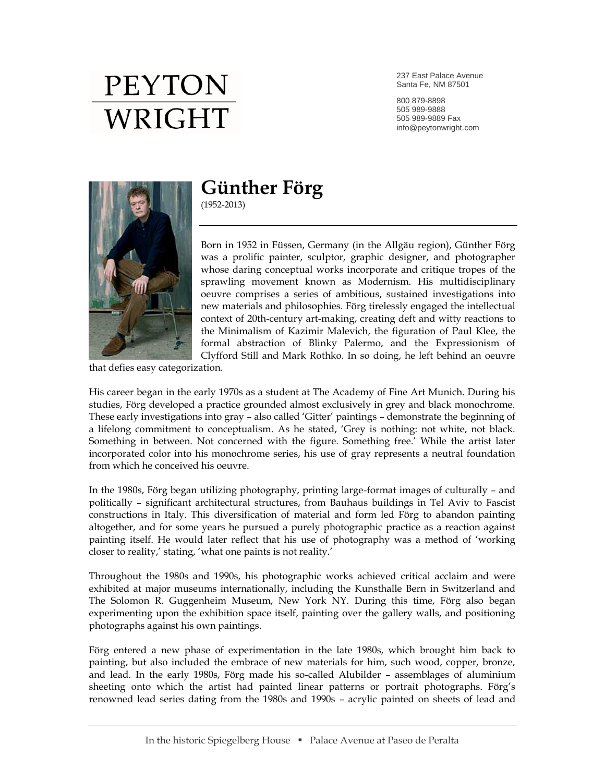237 East Palace Avenue Santa Fe, NM 87501

800 879-8898 505 989-9888 505 989-9889 Fax info@peytonwright.com



### **Günther Förg**

(1952-2013)

Born in 1952 in Füssen, Germany (in the Allgäu region), Günther Förg was a prolific painter, sculptor, graphic designer, and photographer whose daring conceptual works incorporate and critique tropes of the sprawling movement known as Modernism. His multidisciplinary oeuvre comprises a series of ambitious, sustained investigations into new materials and philosophies. Förg tirelessly engaged the intellectual context of 20th-century art-making, creating deft and witty reactions to the Minimalism of Kazimir Malevich, the figuration of Paul Klee, the formal abstraction of Blinky Palermo, and the Expressionism of Clyfford Still and Mark Rothko. In so doing, he left behind an oeuvre

that defies easy categorization.

His career began in the early 1970s as a student at The Academy of Fine Art Munich. During his studies, Förg developed a practice grounded almost exclusively in grey and black monochrome. These early investigations into gray – also called 'Gitter' paintings – demonstrate the beginning of a lifelong commitment to conceptualism. As he stated, 'Grey is nothing: not white, not black. Something in between. Not concerned with the figure. Something free.' While the artist later incorporated color into his monochrome series, his use of gray represents a neutral foundation from which he conceived his oeuvre.

In the 1980s, Förg began utilizing photography, printing large-format images of culturally – and politically – significant architectural structures, from Bauhaus buildings in Tel Aviv to Fascist constructions in Italy. This diversification of material and form led Förg to abandon painting altogether, and for some years he pursued a purely photographic practice as a reaction against painting itself. He would later reflect that his use of photography was a method of 'working closer to reality,' stating, 'what one paints is not reality.'

Throughout the 1980s and 1990s, his photographic works achieved critical acclaim and were exhibited at major museums internationally, including the Kunsthalle Bern in Switzerland and The Solomon R. Guggenheim Museum, New York NY. During this time, Förg also began experimenting upon the exhibition space itself, painting over the gallery walls, and positioning photographs against his own paintings.

Förg entered a new phase of experimentation in the late 1980s, which brought him back to painting, but also included the embrace of new materials for him, such wood, copper, bronze, and lead. In the early 1980s, Förg made his so-called Alubilder – assemblages of aluminium sheeting onto which the artist had painted linear patterns or portrait photographs. Förg's renowned lead series dating from the 1980s and 1990s – acrylic painted on sheets of lead and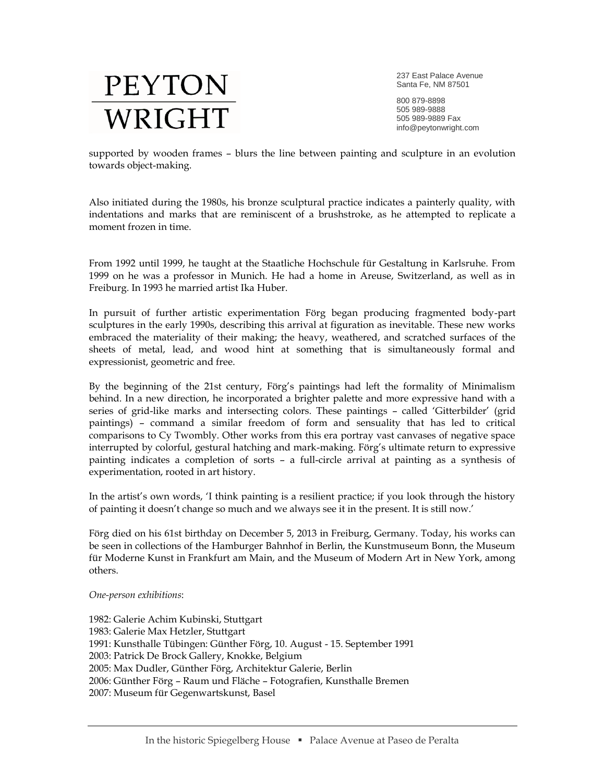237 East Palace Avenue Santa Fe, NM 87501

800 879-8898 505 989-9888 505 989-9889 Fax info@peytonwright.com

supported by wooden frames – blurs the line between painting and sculpture in an evolution towards object-making.

Also initiated during the 1980s, his bronze sculptural practice indicates a painterly quality, with indentations and marks that are reminiscent of a brushstroke, as he attempted to replicate a moment frozen in time.

From 1992 until 1999, he taught at the Staatliche Hochschule für Gestaltung in Karlsruhe. From 1999 on he was a professor in Munich. He had a home in Areuse, Switzerland, as well as in Freiburg. In 1993 he married artist Ika Huber.

In pursuit of further artistic experimentation Förg began producing fragmented body-part sculptures in the early 1990s, describing this arrival at figuration as inevitable. These new works embraced the materiality of their making; the heavy, weathered, and scratched surfaces of the sheets of metal, lead, and wood hint at something that is simultaneously formal and expressionist, geometric and free.

By the beginning of the 21st century, Förg's paintings had left the formality of Minimalism behind. In a new direction, he incorporated a brighter palette and more expressive hand with a series of grid-like marks and intersecting colors. These paintings – called 'Gitterbilder' (grid paintings) – command a similar freedom of form and sensuality that has led to critical comparisons to Cy Twombly. Other works from this era portray vast canvases of negative space interrupted by colorful, gestural hatching and mark-making. Förg's ultimate return to expressive painting indicates a completion of sorts – a full-circle arrival at painting as a synthesis of experimentation, rooted in art history.

In the artist's own words, 'I think painting is a resilient practice; if you look through the history of painting it doesn't change so much and we always see it in the present. It is still now.'

Förg died on his 61st birthday on December 5, 2013 in Freiburg, Germany. Today, his works can be seen in collections of the Hamburger Bahnhof in Berlin, the Kunstmuseum Bonn, the Museum für Moderne Kunst in Frankfurt am Main, and the Museum of Modern Art in New York, among others.

#### *One-person exhibitions*:

1982: Galerie Achim Kubinski, Stuttgart 1983: Galerie Max Hetzler, Stuttgart 1991: Kunsthalle Tübingen: Günther Förg, 10. August - 15. September 1991 2003: Patrick De Brock Gallery, Knokke, Belgium 2005: Max Dudler, Günther Förg, Architektur Galerie, Berlin 2006: Günther Förg – Raum und Fläche – Fotografien, Kunsthalle Bremen 2007: Museum für Gegenwartskunst, Basel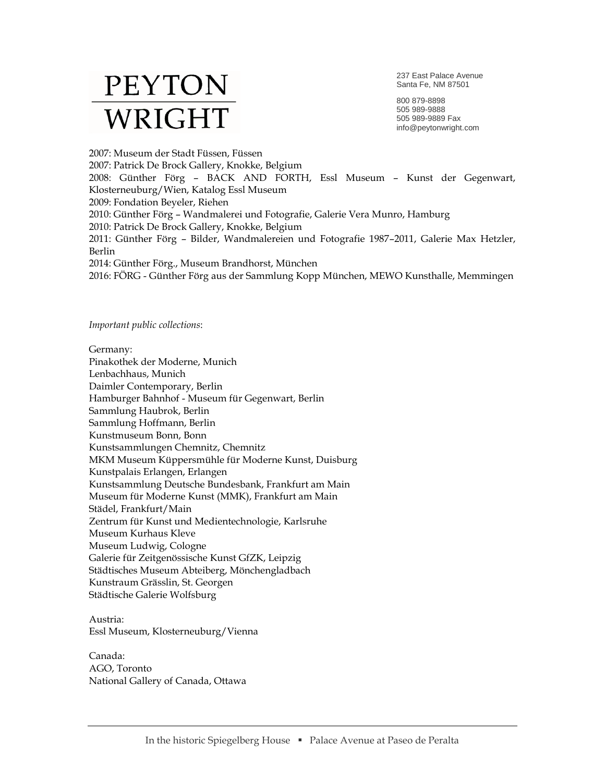237 East Palace Avenue Santa Fe, NM 87501

800 879-8898 505 989-9888 505 989-9889 Fax info@peytonwright.com

2007: Museum der Stadt Füssen, Füssen 2007: Patrick De Brock Gallery, Knokke, Belgium 2008: Günther Förg – BACK AND FORTH, Essl Museum – Kunst der Gegenwart, Klosterneuburg/Wien, Katalog Essl Museum 2009: Fondation Beyeler, Riehen 2010: Günther Förg – Wandmalerei und Fotografie, Galerie Vera Munro, Hamburg 2010: Patrick De Brock Gallery, Knokke, Belgium 2011: Günther Förg – Bilder, Wandmalereien und Fotografie 1987–2011, Galerie Max Hetzler, Berlin 2014: Günther Förg., Museum Brandhorst, München 2016: FÖRG - Günther Förg aus der Sammlung Kopp München, MEWO Kunsthalle, Memmingen

*Important public collections*:

Germany: Pinakothek der Moderne, Munich Lenbachhaus, Munich Daimler Contemporary, Berlin Hamburger Bahnhof - Museum für Gegenwart, Berlin Sammlung Haubrok, Berlin Sammlung Hoffmann, Berlin Kunstmuseum Bonn, Bonn Kunstsammlungen Chemnitz, Chemnitz MKM Museum Küppersmühle für Moderne Kunst, Duisburg Kunstpalais Erlangen, Erlangen Kunstsammlung Deutsche Bundesbank, Frankfurt am Main Museum für Moderne Kunst (MMK), Frankfurt am Main Städel, Frankfurt/Main Zentrum für Kunst und Medientechnologie, Karlsruhe Museum Kurhaus Kleve Museum Ludwig, Cologne Galerie für Zeitgenössische Kunst GfZK, Leipzig Städtisches Museum Abteiberg, Mönchengladbach Kunstraum Grässlin, St. Georgen Städtische Galerie Wolfsburg

Austria: Essl Museum, Klosterneuburg/Vienna

Canada: AGO, Toronto National Gallery of Canada, Ottawa